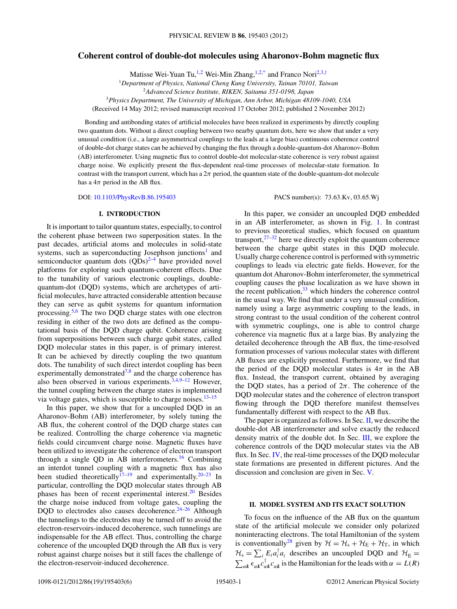# **Coherent control of double-dot molecules using Aharonov-Bohm magnetic flux**

Matisse Wei-Yuan Tu,<sup>1,2</sup> Wei-Min Zhang,<sup>1,2[,\\*](#page-4-0)</sup> and Franco Nori<sup>2,3,[†](#page-4-0)</sup>

<sup>1</sup>*Department of Physics, National Cheng Kung University, Tainan 70101, Taiwan*

<sup>3</sup>*Physics Department, The University of Michigan, Ann Arbor, Michigan 48109-1040, USA*

(Received 14 May 2012; revised manuscript received 17 October 2012; published 2 November 2012)

Bonding and antibonding states of artificial molecules have been realized in experiments by directly coupling two quantum dots. Without a direct coupling between two nearby quantum dots, here we show that under a very unusual condition (i.e., a large asymmetrical couplings to the leads at a large bias) continuous coherence control of double-dot charge states can be achieved by changing the flux through a double-quantum-dot Aharonov-Bohm (AB) interferometer. Using magnetic flux to control double-dot molecular-state coherence is very robust against charge noise. We explicitly present the flux-dependent real-time processes of molecular-state formation. In contrast with the transport current, which has a 2*π* period, the quantum state of the double-quantum-dot molecule has a  $4\pi$  period in the AB flux.

DOI: [10.1103/PhysRevB.86.195403](http://dx.doi.org/10.1103/PhysRevB.86.195403) PACS number(s): 73*.*63*.*Kv, 03*.*65*.*Wj

#### **I. INTRODUCTION**

It is important to tailor quantum states, especially, to control the coherent phase between two superposition states. In the past decades, artificial atoms and molecules in solid-state systems, such as superconducting Josephson junctions<sup>[1](#page-4-0)</sup> and semiconductor quantum dots  $(QDs)^{2-4}$  have provided novel platforms for exploring such quantum-coherent effects. Due to the tunability of various electronic couplings, doublequantum-dot (DQD) systems, which are archetypes of artificial molecules, have attracted considerable attention because they can serve as qubit systems for quantum information processing. $5.6$  The two DQD charge states with one electron residing in either of the two dots are defined as the computational basis of the DQD charge qubit. Coherence arising from superpositions between such charge qubit states, called DQD molecular states in this paper, is of primary interest. It can be achieved by directly coupling the two quantum dots. The tunability of such direct interdot coupling has been experimentally demonstrated<sup>7,8</sup> and the charge coherence has also been observed in various experiments.  $3,4,9-12$  However, the tunnel coupling between the charge states is implemented via voltage gates, which is susceptible to charge noises.<sup>13-15</sup>

In this paper, we show that for a uncoupled DQD in an Aharonov-Bohm (AB) interferometer, by solely tuning the AB flux, the coherent control of the DQD charge states can be realized. Controlling the charge coherence via magnetic fields could circumvent charge noise. Magnetic fluxes have been utilized to investigate the coherence of electron transport through a single QD in AB interferometers.<sup>[16](#page-4-0)</sup> Combining an interdot tunnel coupling with a magnetic flux has also been studied theoretically<sup>17–19</sup> and experimentally.<sup>[20–23](#page-4-0)</sup> In particular, controlling the DQD molecular states through AB phases has been of recent experimental interest.<sup>20</sup> Besides the charge noise induced from voltage gates, coupling the DQD to electrodes also causes decoherence. $24-26$  Although the tunnelings to the electrodes may be turned off to avoid the electron-reservoirs-induced decoherence, such tunnelings are indispensable for the AB effect. Thus, controlling the charge coherence of the uncoupled DQD through the AB flux is very robust against charge noises but it still faces the challenge of the electron-reservoir-induced decoherence.

In this paper, we consider an uncoupled DQD embedded in an AB interferometer, as shown in Fig. [1.](#page-1-0) In contrast to previous theoretical studies, which focused on quantum transport, $27-32$  here we directly exploit the quantum coherence between the charge qubit states in this DQD molecule. Usually charge coherence control is performed with symmetric couplings to leads via electric gate fields. However, for the quantum dot Aharonov-Bohm interferometer, the symmetrical coupling causes the phase localization as we have shown in the recent publication,  $33$  which hinders the coherence control in the usual way. We find that under a very unusual condition, namely using a large asymmetric coupling to the leads, in strong contrast to the usual condition of the coherent control with symmetric couplings, one is able to control charge coherence via magnetic flux at a large bias. By analyzing the detailed decoherence through the AB flux, the time-resolved formation processes of various molecular states with different AB fluxes are explicitly presented. Furthermore, we find that the period of the DQD molecular states is  $4\pi$  in the AB flux. Instead, the transport current, obtained by averaging the DQD states, has a period of  $2\pi$ . The coherence of the DQD molecular states and the coherence of electron transport flowing through the DQD therefore manifest themselves fundamentally different with respect to the AB flux.

The paper is organized as follows. In Sec.  $II$ , we describe the double-dot AB interferometer and solve exactly the reduced density matrix of the double dot. In Sec.  $III$ , we explore the coherence controls of the DQD molecular states via the AB flux. In Sec. [IV,](#page-2-0) the real-time processes of the DQD molecular state formations are presented in different pictures. And the discussion and conclusion are given in Sec. [V.](#page-3-0)

### **II. MODEL SYSTEM AND ITS EXACT SOLUTION**

To focus on the influence of the AB flux on the quantum state of the artificial molecule we consider only polarized noninteracting electrons. The total Hamiltonian of the system is conventionally<sup>28</sup> given by  $\mathcal{H} = \mathcal{H}_s + \mathcal{H}_E + \mathcal{H}_T$ , in which  $\mathcal{H}_s = \sum_i E_i a_i^\dagger a_i$  describes an uncoupled DQD and  $\mathcal{H}_E =$  $\sum_{\alpha k} \epsilon_{\alpha k}^{\dagger} c_{\alpha k}^{\dagger}$  is the Hamiltonian for the leads with  $\alpha = L(R)$ 

<sup>2</sup>*Advanced Science Institute, RIKEN, Saitama 351-0198, Japan*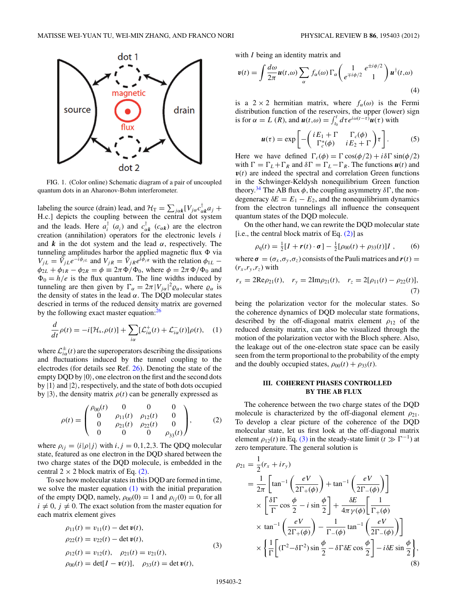<span id="page-1-0"></span>

FIG. 1. (Color online) Schematic diagram of a pair of uncoupled quantum dots in an Aharonov-Bohm interferometer.

labeling the source (drain) lead, and  $\mathcal{H}_{\text{T}} = \sum_{j\alpha k} [V_{j\alpha} c_{\alpha k}^{\dagger} a_j +$ H*.*c*.*] depicts the coupling between the central dot system and the leads. Here  $a_i^{\dagger}$  ( $a_i$ ) and  $c_{\alpha k}^{\dagger}$  ( $c_{\alpha k}$ ) are the electron creation (annihilation) operators for the electronic levels *i* and  $\boldsymbol{k}$  in the dot system and the lead  $\alpha$ , respectively. The tunneling amplitudes harbor the applied magnetic flux  $\Phi$  via  $V_{jL} = \bar{V}_{jL}e^{-i\phi_{jL}}$  and  $V_{jR} = \bar{V}_{jR}e^{i\phi_{jR}}$  with the relation  $\phi_{1L}$  −  $\phi_{2L} + \phi_{1R} - \phi_{2R} = \phi \equiv 2\pi \Phi / \Phi_0$ , where  $\phi = 2\pi \Phi / \Phi_0$  and  $\Phi_0 = h/e$  is the flux quantum. The line widths induced by tunneling are then given by  $\Gamma_{\alpha} = 2\pi |V_{j\alpha}|^2 \varrho_{\alpha}$ , where  $\varrho_{\alpha}$  is the density of states in the lead  $\alpha$ . The DQD molecular states descried in terms of the reduced density matrix are governed by the following exact master equation:<sup>2</sup>

$$
\frac{d}{dt}\rho(t) = -i[\mathcal{H}_s, \rho(t)] + \sum_{i\alpha} [\mathcal{L}_{i\alpha}^+(t) + \mathcal{L}_{i\alpha}^-(t)]\rho(t), \quad (1)
$$

where  $\mathcal{L}^{\pm}_{i\alpha}(t)$  are the superoperators describing the dissipations and fluctuations induced by the tunnel coupling to the electrodes (for details see Ref. [26\)](#page-4-0). Denoting the state of the empty DQD by  $|0\rangle$ , one electron on the first and the second dots by  $|1\rangle$  and  $|2\rangle$ , respectively, and the state of both dots occupied by  $|3\rangle$ , the density matrix  $\rho(t)$  can be generally expressed as

$$
\rho(t) = \begin{pmatrix} \rho_{00}(t) & 0 & 0 & 0 \\ 0 & \rho_{11}(t) & \rho_{12}(t) & 0 \\ 0 & \rho_{21}(t) & \rho_{22}(t) & 0 \\ 0 & 0 & 0 & \rho_{33}(t) \end{pmatrix}, \quad (2)
$$

where  $\rho_{ij} = \langle i | \rho | j \rangle$  with  $i, j = 0, 1, 2, 3$ . The QDQ molecular state, featured as one electron in the DQD shared between the two charge states of the DQD molecule, is embedded in the central  $2 \times 2$  block matrix of Eq. (2).

To see how molecular states in this DQD are formed in time, we solve the master equation  $(1)$  with the initial preparation of the empty DQD, namely,  $\rho_{00}(0) = 1$  and  $\rho_{ii}(0) = 0$ , for all  $i \neq 0$ ,  $j \neq 0$ . The exact solution from the master equation for each matrix element gives

$$
\rho_{11}(t) = v_{11}(t) - \det v(t),
$$
  
\n
$$
\rho_{22}(t) = v_{22}(t) - \det v(t),
$$
  
\n
$$
\rho_{12}(t) = v_{12}(t), \quad \rho_{21}(t) = v_{21}(t),
$$
  
\n
$$
\rho_{00}(t) = \det[I - v(t)], \quad \rho_{33}(t) = \det v(t),
$$
\n(3)

with *I* being an identity matrix and

$$
\mathbf{v}(t) = \int \frac{d\omega}{2\pi} \mathbf{u}(t,\omega) \sum_{\alpha} f_{\alpha}(\omega) \Gamma_{\alpha} \left( \frac{1}{e^{\mp i\phi/2}} \frac{e^{\pm i\phi/2}}{1} \right) \mathbf{u}^{\dagger}(t,\omega) \tag{4}
$$

is a  $2 \times 2$  hermitian matrix, where  $f_{\alpha}(\omega)$  is the Fermi distribution function of the reservoirs, the upper (lower) sign is for  $\alpha = L(R)$ , and  $u(t,\omega) = \int_{t_0}^t d\tau e^{i\omega(t-\tau)} u(\tau)$  with

$$
\boldsymbol{u}(\tau) = \exp\left[-\begin{pmatrix} iE_1 + \Gamma & \Gamma_c(\phi) \\ \Gamma_c^*(\phi) & iE_2 + \Gamma \end{pmatrix} \tau\right].
$$
 (5)

Here we have defined  $\Gamma_c(\phi) = \Gamma \cos(\phi/2) + i\delta \Gamma \sin(\phi/2)$ with  $\Gamma = \Gamma_L + \Gamma_R$  and  $\delta \Gamma = \Gamma_L - \Gamma_R$ . The functions  $u(t)$  and  $v(t)$  are indeed the spectral and correlation Green functions in the Schwinger-Keldysh nonequilibrium Green function theory.<sup>34</sup> The AB flux  $\phi$ , the coupling asymmetry  $\delta\Gamma$ , the nondegeneracy  $\delta E = E_1 - E_2$ , and the nonequilibrium dynamics from the electron tunnelings all influence the consequent quantum states of the DQD molecule.

On the other hand, we can rewrite the DQD molecular state [i.e., the central block matrix of Eq.  $(2)$ ] as

$$
\rho_{\rm q}(t) = \frac{1}{2}[I + \mathbf{r}(t) \cdot \boldsymbol{\sigma}] - \frac{1}{2}[\rho_{00}(t) + \rho_{33}(t)]I , \qquad (6)
$$

where  $\sigma = (\sigma_x, \sigma_y, \sigma_z)$  consists of the Pauli matrices and  $\mathbf{r}(t) =$  $(r_x, r_y, r_z)$  with

$$
r_x = 2\text{Re}\rho_{21}(t), \quad r_y = 2\text{Im}\rho_{21}(t), \quad r_z = 2[\rho_{11}(t) - \rho_{22}(t)],
$$
\n(7)

being the polarization vector for the molecular states. So the coherence dynamics of DQD molecular state formations, described by the off-diagonal matrix element  $\rho_{12}$  of the reduced density matrix, can also be visualized through the motion of the polarization vector with the Bloch sphere. Also, the leakage out of the one-electron state space can be easily seen from the term proportional to the probability of the empty and the doubly occupied states,  $\rho_{00}(t) + \rho_{33}(t)$ .

### **III. COHERENT PHASES CONTROLLED BY THE AB FLUX**

The coherence between the two charge states of the DQD molecule is characterized by the off-diagonal element  $\rho_{21}$ . To develop a clear picture of the coherence of the DQD molecular state, let us first look at the off-diagonal matrix element  $\rho_{12}(t)$  in Eq. (3) in the steady-state limit ( $t \gg \Gamma^{-1}$ ) at zero temperature. The general solution is

$$
\rho_{21} = \frac{1}{2}(r_x + ir_y)
$$
  
\n
$$
= \frac{1}{2\pi} \left[ \tan^{-1} \left( \frac{eV}{2\Gamma_+(\phi)} \right) + \tan^{-1} \left( \frac{eV}{2\Gamma_-(\phi)} \right) \right]
$$
  
\n
$$
\times \left[ \frac{\delta \Gamma}{\Gamma} \cos \frac{\phi}{2} - i \sin \frac{\phi}{2} \right] + \frac{\delta E}{4\pi \gamma(\phi)} \left[ \frac{1}{\Gamma_+(\phi)} \right]
$$
  
\n
$$
\times \tan^{-1} \left( \frac{eV}{2\Gamma_+(\phi)} \right) - \frac{1}{\Gamma_-(\phi)} \tan^{-1} \left( \frac{eV}{2\Gamma_-(\phi)} \right) \right]
$$
  
\n
$$
\times \left\{ \frac{1}{\Gamma} \left[ (\Gamma^2 - \delta \Gamma^2) \sin \frac{\phi}{2} - \delta \Gamma \delta E \cos \frac{\phi}{2} \right] - i \delta E \sin \frac{\phi}{2} \right\},
$$
  
\n(8)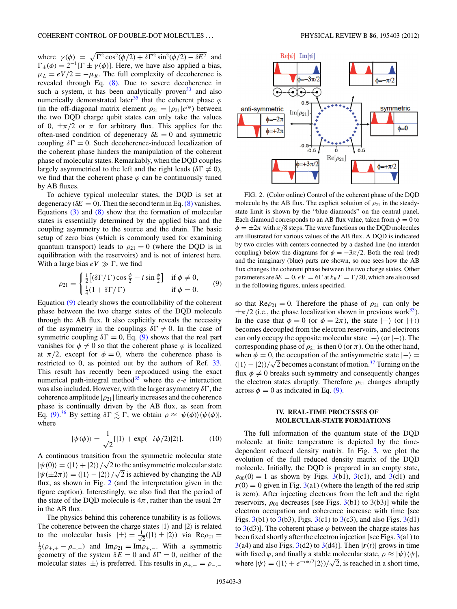<span id="page-2-0"></span>where  $\gamma(\phi) = \sqrt{\Gamma^2 \cos^2(\phi/2) + \delta \Gamma^2 \sin^2(\phi/2) - \delta E^2}$  and  $\Gamma_{\pm}(\phi) = 2^{-1} [\Gamma \pm \gamma(\phi)]$ . Here, we have also applied a bias,  $\mu_L = eV/2 = -\mu_R$ . The full complexity of decoherence is revealed through Eq. [\(8\).](#page-1-0) Due to severe decoherence in such a system, it has been analytically proven  $33$  and also numerically demonstrated later<sup>35</sup> that the coherent phase  $\varphi$ (in the off-diagonal matrix element  $\rho_{21} = |\rho_{21}|e^{i\varphi}$ ) between the two DQD charge qubit states can only take the values of 0, ±*π/*2 or *π* for arbitrary flux. This applies for the often-used condition of degeneracy *δE* = 0 and symmetric coupling  $\delta \Gamma = 0$ . Such decoherence-induced localization of the coherent phase hinders the manipulation of the coherent phase of molecular states. Remarkably, when the DQD couples largely asymmetrical to the left and the right leads ( $\delta \Gamma \neq 0$ ), we find that the coherent phase  $\varphi$  can be continuously tuned by AB fluxes.

To achieve typical molecular states, the DQD is set at degeneracy ( $\delta E = 0$ ). Then the second term in Eq. [\(8\)](#page-1-0) vanishes. Equations  $(3)$  and  $(8)$  show that the formation of molecular states is essentially determined by the applied bias and the coupling asymmetry to the source and the drain. The basic setup of zero bias (which is commonly used for examining quantum transport) leads to  $\rho_{21} = 0$  (where the DQD is in equilibration with the reservoirs) and is not of interest here. With a large bias  $eV \gg \Gamma$ , we find

$$
\rho_{21} = \begin{cases} \frac{1}{2} [(\delta \Gamma / \Gamma) \cos \frac{\phi}{2} - i \sin \frac{\phi}{2}] & \text{if } \phi \neq 0, \\ \frac{1}{4} (1 + \delta \Gamma / \Gamma) & \text{if } \phi = 0. \end{cases}
$$
(9)

Equation (9) clearly shows the controllability of the coherent phase between the two charge states of the DQD molecule through the AB flux. It also explicitly reveals the necessity of the asymmetry in the couplings  $\delta \Gamma \neq 0$ . In the case of symmetric coupling  $\delta \Gamma = 0$ , Eq. (9) shows that the real part vanishes for  $\phi \neq 0$  so that the coherent phase  $\varphi$  is localized at  $\pi/2$ , except for  $\phi = 0$ , where the coherence phase is restricted to 0, as pointed out by the authors of Ref. [33.](#page-5-0) This result has recently been reproduced using the exact numerical path-integral method $35$  where the *e-e* interaction was also included. However, with the larger asymmetry  $\delta\Gamma$ , the coherence amplitude  $|\rho_{21}|$  linearly increases and the coherence phase is continually driven by the AB flux, as seen from Eq. (9).<sup>[36](#page-5-0)</sup> By setting  $\delta \Gamma \lesssim \Gamma$ , we obtain  $\rho \approx |\psi(\phi)\rangle \langle \psi(\phi)|$ , where

$$
|\psi(\phi)\rangle = \frac{1}{\sqrt{2}}[|1\rangle + \exp(-i\phi/2)|2\rangle].
$$
 (10)

A continuous transition from the symmetric molecular state  $|\psi(0)\rangle = (|1\rangle + |2\rangle)/\sqrt{2}$  to the antisymmetric molecular state  $|\psi(\pm 2\pi)\rangle = (|1\rangle - |2\rangle)/\sqrt{2}$  is achieved by changing the AB flux, as shown in Fig. 2 (and the interpretation given in the figure caption). Interestingly, we also find that the period of the state of the DQD molecule is  $4\pi$ , rather than the usual  $2\pi$ in the AB flux.

The physics behind this coherence tunability is as follows. The coherence between the charge states  $|1\rangle$  and  $|2\rangle$  is related to the molecular basis  $|\pm\rangle = \frac{1}{\sqrt{2}}$  $\overline{z}(|1\rangle \pm |2\rangle)$  via Re $\rho_{21} =$  $\frac{1}{2}(\rho_{+,+} - \rho_{-, -})$  and Im $\rho_{21} = \text{Im}\rho_{+, -}$ . With a symmetric geometry of the system  $\delta E = 0$  and  $\delta \Gamma = 0$ , neither of the molecular states  $|\pm\rangle$  is preferred. This results in  $\rho_{+,+} = \rho_{-,+}$ 



FIG. 2. (Color online) Control of the coherent phase of the DQD molecule by the AB flux. The explicit solution of  $\rho_{21}$  in the steadystate limit is shown by the "blue diamonds" on the central panel. Each diamond corresponds to an AB flux value, taken from  $\phi = 0$  to  $\phi = \pm 2\pi$  with  $\pi/8$  steps. The wave functions on the DQD molecules are illustrated for various values of the AB flux. A DQD is indicated by two circles with centers connected by a dashed line (no interdot coupling) below the diagrams for  $\phi = -3\pi/2$ . Both the real (red) and the imaginary (blue) parts are shown, so one sees how the AB flux changes the coherent phase between the two charge states. Other parameters are  $\delta E = 0$ ,  $eV = 6\Gamma$  at  $k_B T = \Gamma/20$ , which are also used in the following figures, unless specified.

so that  $\text{Re}\rho_{21} = 0$ . Therefore the phase of  $\rho_{21}$  can only be  $\pm \pi/2$  (i.e., the phase localization shown in previous work<sup>33</sup>). In the case that  $\phi = 0$  (or  $\phi = 2\pi$ ), the state  $|-\rangle$  (or  $|+\rangle$ ) becomes decoupled from the electron reservoirs, and electrons can only occupy the opposite molecular state  $|+\rangle$  (or  $|-\rangle$ ). The corresponding phase of  $\rho_{21}$  is then 0 (or  $\pi$ ). On the other hand, when  $\phi = 0$ , the occupation of the antisymmetric state  $|-\rangle =$  $(1) - (2)/\sqrt{2}$  becomes a constant of motion.<sup>[37](#page-5-0)</sup> Turning on the flux  $\phi \neq 0$  breaks such symmetry and consequently changes the electron states abruptly. Therefore  $\rho_{21}$  changes abruptly across  $\phi = 0$  as indicated in Eq. (9).

## **IV. REAL-TIME PROCESSES OF MOLECULAR-STATE FORMATIONS**

The full information of the quantum state of the DQD molecule at finite temperature is depicted by the timedependent reduced density matrix. In Fig. [3,](#page-3-0) we plot the evolution of the full reduced density matrix of the DQD molecule. Initially, the DQD is prepared in an empty state,  $\rho_{00}(0) = 1$  as shown by Figs. [3\(](#page-3-0)b1), 3(c1), and 3(d1) and  $r(0) = 0$  given in Fig. [3\(](#page-3-0)a1) (where the length of the red strip is zero). After injecting electrons from the left and the right reservoirs,  $\rho_{00}$  decreases [see Figs. [3\(](#page-3-0)b1) to 3(b3)] while the electron occupation and coherence increase with time [see Figs.  $3(b1)$  $3(b1)$  to  $3(b3)$ , Figs.  $3(c1)$  to  $3(c3)$ , and also Figs.  $3(d1)$ to  $3(d3)$  $3(d3)$ ]. The coherent phase  $\varphi$  between the charge states has been fixed shortly after the electron injection [see Figs. [3\(](#page-3-0)a1) to  $3(a4)$  $3(a4)$  and also Figs.  $3(d2)$  to  $3(d4)$ ]. Then  $|r(t)|$  grows in time with fixed  $\varphi$ , and finally a stable molecular state,  $\rho \approx |\psi\rangle \langle \psi|$ , where  $|\psi\rangle = (|1\rangle + e^{-i\phi/2}|2\rangle)/\sqrt{2}$ , is reached in a short time,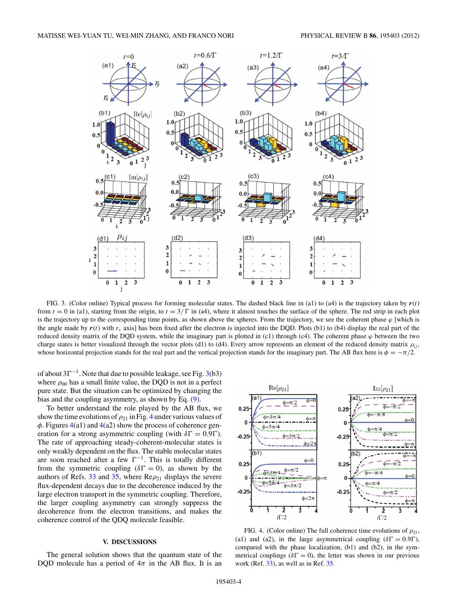<span id="page-3-0"></span>

FIG. 3. (Color online) Typical process for forming molecular states. The dashed black line in (a1) to (a4) is the trajectory taken by  $r(t)$ from  $t = 0$  in (a1), starting from the origin, to  $t = 3/\Gamma$  in (a4), where it almost touches the surface of the sphere. The red strip in each plot is the trajectory up to the corresponding time points, as shown above the spheres. From the trajectory, we see the coherent phase  $\varphi$  [which is the angle made by  $r(t)$  with  $r<sub>x</sub>$  axis] has been fixed after the electron is injected into the DQD. Plots (b1) to (b4) display the real part of the reduced density matrix of the DQD system, while the imaginary part is plotted in (c1) through (c4). The coherent phase  $\varphi$  between the two charge states is better visualized through the vector plots (d1) to (d4). Every arrow represents an element of the reduced density matrix  $ρ<sub>i</sub>$ , whose horizontal projection stands for the real part and the vertical projection stands for the imaginary part. The AB flux here is  $\phi = -\pi/2$ .

of about  $3\Gamma^{-1}$ . Note that due to possible leakage, see Fig. 3(b3) where  $\rho_{00}$  has a small finite value, the DQD is not in a perfect pure state. But the situation can be optimized by changing the bias and the coupling asymmetry, as shown by Eq. [\(9\).](#page-2-0)

To better understand the role played by the AB flux, we show the time evolutions of  $\rho_{21}$  in Fig. 4 under various values of *φ*. Figures 4(a1) and 4(a2) show the process of coherence generation for a strong asymmetric coupling (with  $\delta \Gamma = 0.9 \Gamma$ ). The rate of approaching steady-coherent-molecular states is only weakly dependent on the flux. The stable molecular states are soon reached after a few  $\Gamma^{-1}$ . This is totally different from the symmetric coupling ( $\delta \Gamma = 0$ ), as shown by the authors of Refs.  $33$  and  $35$ , where  $\text{Re}\rho_{21}$  displays the severe flux-dependent decays due to the decoherence induced by the large electron transport in the symmetric coupling. Therefore, the larger coupling asymmetry can strongly suppress the decoherence from the electron transitions, and makes the coherence control of the QDQ molecule feasible.

#### **V. DISCUSSIONS**

The general solution shows that the quantum state of the DQD molecule has a period of  $4\pi$  in the AB flux. It is an



FIG. 4. (Color online) The full coherence time evolutions of  $\rho_{21}$ , (a1) and (a2), in the large asymmetrical coupling ( $\delta\Gamma = 0.9\Gamma$ ), compared with the phase localization, (b1) and (b2), in the symmetrical couplings ( $\delta \Gamma = 0$ ), the letter was shown in our previous work (Ref. [33\)](#page-5-0), as well as in Ref. [35.](#page-5-0)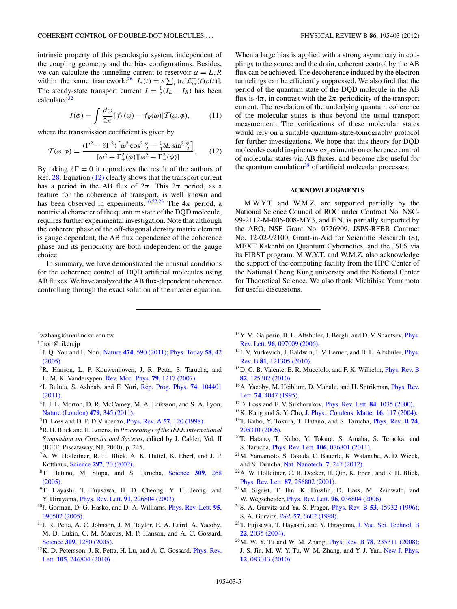<span id="page-4-0"></span>intrinsic property of this pseudospin system, independent of the coupling geometry and the bias configurations. Besides, we can calculate the tunneling current to reservoir  $\alpha = L, R$ within the same framework:<sup>26</sup>  $I_{\alpha}(t) = e \sum_{i} \text{tr}_{\text{s}}[\mathcal{L}_{i\alpha}^{+}(t)\rho(t)].$ The steady-state transport current  $I = \frac{1}{2}(I_L - I_R)$  has been calculated<sup>32</sup>

$$
I(\phi) = \int \frac{d\omega}{2\pi} [f_L(\omega) - f_R(\omega)] \mathcal{T}(\omega, \phi), \quad (11)
$$

where the transmission coefficient is given by

$$
\mathcal{T}(\omega,\phi) = \frac{(\Gamma^2 - \delta\Gamma^2) \left[\omega^2 \cos^2\frac{\phi}{2} + \frac{1}{4}\delta E \sin^2\frac{\phi}{2}\right]}{[\omega^2 + \Gamma_+^2(\phi)][\omega^2 + \Gamma_-^2(\phi)]}.
$$
 (12)

By taking  $\delta \Gamma = 0$  it reproduces the result of the authors of Ref. [28.](#page-5-0) Equation (12) clearly shows that the transport current has a period in the AB flux of  $2\pi$ . This  $2\pi$  period, as a feature for the coherence of transport, is well known and has been observed in experiments.<sup>16,22,23</sup> The  $4\pi$  period, a nontrivial character of the quantum state of the DQD molecule, requires further experimental investigation. Note that although the coherent phase of the off-diagonal density matrix element is gauge dependent, the AB flux dependence of the coherence phase and its periodicity are both independent of the gauge choice.

In summary, we have demonstrated the unusual conditions for the coherence control of DQD artificial molecules using AB fluxes.We have analyzed the AB flux-dependent coherence controlling through the exact solution of the master equation.

When a large bias is applied with a strong asymmetry in couplings to the source and the drain, coherent control by the AB flux can be achieved. The decoherence induced by the electron tunnelings can be efficiently suppressed. We also find that the period of the quantum state of the DQD molecule in the AB flux is  $4\pi$ , in contrast with the  $2\pi$  periodicity of the transport current. The revelation of the underlying quantum coherence of the molecular states is thus beyond the usual transport measurement. The verifications of these molecular states would rely on a suitable quantum-state-tomography protocol for further investigations. We hope that this theory for DQD molecules could inspire new experiments on coherence control of molecular states via AB fluxes, and become also useful for the quantum emulation $38$  of artificial molecular processes.

#### **ACKNOWLEDGMENTS**

M.W.Y.T. and W.M.Z. are supported partially by the National Science Council of ROC under Contract No. NSC-99-2112-M-006-008-MY3, and F.N. is partially supported by the ARO, NSF Grant No. 0726909, JSPS-RFBR Contract No. 12-02-92100, Grant-in-Aid for Scientific Research (S), MEXT Kakenhi on Quantum Cybernetics, and the JSPS via its FIRST program. M.W.Y.T. and W.M.Z. also acknowledge the support of the computing facility from the HPC Center of the National Cheng Kung university and the National Center for Theoretical Science. We also thank Michihisa Yamamoto for useful discussions.

\* wzhang@mail.ncku.edu.tw

† fnori@riken.jp

- 1J. Q. You and F. Nori, Nature **474**[, 590 \(2011\);](http://dx.doi.org/10.1038/nature10122) [Phys. Today](http://dx.doi.org/10.1063/1.2155757) **58**, 42 [\(2005\).](http://dx.doi.org/10.1063/1.2155757)
- 2R. Hanson, L. P. Kouwenhoven, J. R. Petta, S. Tarucha, and L. M. K. Vandersypen, [Rev. Mod. Phys.](http://dx.doi.org/10.1103/RevModPhys.79.1217) **79**, 1217 (2007).
- 3I. Buluta, S. Ashhab, and F. Nori, [Rep. Prog. Phys.](http://dx.doi.org/10.1088/0034-4885/74/10/104401) **74**, 104401 [\(2011\).](http://dx.doi.org/10.1088/0034-4885/74/10/104401)
- 4J. J. L. Morton, D. R. McCamey, M. A. Eriksson, and S. A. Lyon, [Nature \(London\)](http://dx.doi.org/10.1038/nature10681) **479**, 345 (2011).
- 5D. Loss and D. P. DiVincenzo, [Phys. Rev. A](http://dx.doi.org/10.1103/PhysRevA.57.120) **57**, 120 (1998).
- 6R. H. Blick and H. Lorenz, in *Proceedings of the IEEE International Symposium on Circuits and Systems*, edited by J. Calder, Vol. II (IEEE, Piscataway, NJ, 2000), p. 245.
- 7A. W. Holleitner, R. H. Blick, A. K. Huttel, K. Eberl, and J. P. Kotthaus, Science **297**[, 70 \(2002\).](http://dx.doi.org/10.1126/science.1071215)
- 8T. Hatano, M. Stopa, and S. Tarucha, [Science](http://dx.doi.org/10.1126/science.1111205) **309**, 268 [\(2005\).](http://dx.doi.org/10.1126/science.1111205)
- 9T. Hayashi, T. Fujisawa, H. D. Cheong, Y. H. Jeong, and Y. Hirayama, Phys. Rev. Lett. **91**[, 226804 \(2003\).](http://dx.doi.org/10.1103/PhysRevLett.91.226804)
- 10J. Gorman, D. G. Hasko, and D. A. Williams, [Phys. Rev. Lett.](http://dx.doi.org/10.1103/PhysRevLett.95.090502) **95**, [090502 \(2005\).](http://dx.doi.org/10.1103/PhysRevLett.95.090502)
- 11J. R. Petta, A. C. Johnson, J. M. Taylor, E. A. Laird, A. Yacoby, M. D. Lukin, C. M. Marcus, M. P. Hanson, and A. C. Gossard, Science **309**[, 1280 \(2005\).](http://dx.doi.org/10.1126/science.1116955)
- <sup>12</sup>K. D. Petersson, J. R. Petta, H. Lu, and A. C. Gossard, *[Phys. Rev.](http://dx.doi.org/10.1103/PhysRevLett.105.246804)* Lett. **105**[, 246804 \(2010\).](http://dx.doi.org/10.1103/PhysRevLett.105.246804)
- 13Y. M. Galperin, B. L. Altshuler, J. Bergli, and D. V. Shantsev, [Phys.](http://dx.doi.org/10.1103/PhysRevLett.96.097009) Rev. Lett. **96**[, 097009 \(2006\).](http://dx.doi.org/10.1103/PhysRevLett.96.097009)
- <sup>14</sup>I. V. Yurkevich, J. Baldwin, I. V. Lerner, and B. L. Altshuler, *[Phys.](http://dx.doi.org/10.1103/PhysRevB.81.121305)* Rev. B **81**[, 121305 \(2010\).](http://dx.doi.org/10.1103/PhysRevB.81.121305)
- 15D. C. B. Valente, E. R. Mucciolo, and F. K. Wilhelm, [Phys. Rev. B](http://dx.doi.org/10.1103/PhysRevB.82.125302) **82**[, 125302 \(2010\).](http://dx.doi.org/10.1103/PhysRevB.82.125302)
- <sup>16</sup>A. Yacoby, M. Heiblum, D. Mahalu, and H. Shtrikman, *[Phys. Rev.](http://dx.doi.org/10.1103/PhysRevLett.74.4047)* Lett. **74**[, 4047 \(1995\).](http://dx.doi.org/10.1103/PhysRevLett.74.4047)
- 17D. Loss and E. V. Sukhorukov, [Phys. Rev. Lett.](http://dx.doi.org/10.1103/PhysRevLett.84.1035) **84**, 1035 (2000).
- 18K. Kang and S. Y. Cho, [J. Phys.: Condens. Matter](http://dx.doi.org/10.1088/0953-8984/16/1/011) **16**, 117 (2004).
- 19T. Kubo, Y. Tokura, T. Hatano, and S. Tarucha, [Phys. Rev. B](http://dx.doi.org/10.1103/PhysRevB.74.205310) **74**, [205310 \(2006\).](http://dx.doi.org/10.1103/PhysRevB.74.205310)
- 20T. Hatano, T. Kubo, Y. Tokura, S. Amaha, S. Teraoka, and S. Tarucha, Phys. Rev. Lett. **106**[, 076801 \(2011\).](http://dx.doi.org/10.1103/PhysRevLett.106.076801)
- 21M. Yamamoto, S. Takada, C. Bauerle, K. Watanabe, A. D. Wieck, and S. Tarucha, [Nat. Nanotech.](http://dx.doi.org/10.1038/nnano.2012.28) **7**, 247 (2012).
- 22A. W. Holleitner, C. R. Decker, H. Qin, K. Eberl, and R. H. Blick, Phys. Rev. Lett. **87**[, 256802 \(2001\).](http://dx.doi.org/10.1103/PhysRevLett.87.256802)
- 23M. Sigrist, T. Ihn, K. Ensslin, D. Loss, M. Reinwald, and W. Wegscheider, Phys. Rev. Lett. **96**[, 036804 \(2006\).](http://dx.doi.org/10.1103/PhysRevLett.96.036804)
- 24S. A. Gurvitz and Ya. S. Prager, Phys. Rev. B **53**[, 15932 \(1996\);](http://dx.doi.org/10.1103/PhysRevB.53.15932) S. A. Gurvitz, *ibid.* **57**[, 6602 \(1998\).](http://dx.doi.org/10.1103/PhysRevB.57.6602)
- 25T. Fujisawa, T. Hayashi, and Y. Hirayama, [J. Vac. Sci. Technol. B](http://dx.doi.org/10.1116/1.1771679) **22**[, 2035 \(2004\).](http://dx.doi.org/10.1116/1.1771679)
- 26M. W. Y. Tu and W. M. Zhang, Phys. Rev. B **78**[, 235311 \(2008\);](http://dx.doi.org/10.1103/PhysRevB.78.235311) J. S. Jin, M. W. Y. Tu, W. M. Zhang, and Y. J. Yan, [New J. Phys.](http://dx.doi.org/10.1088/1367-2630/12/8/083013) **12**[, 083013 \(2010\).](http://dx.doi.org/10.1088/1367-2630/12/8/083013)